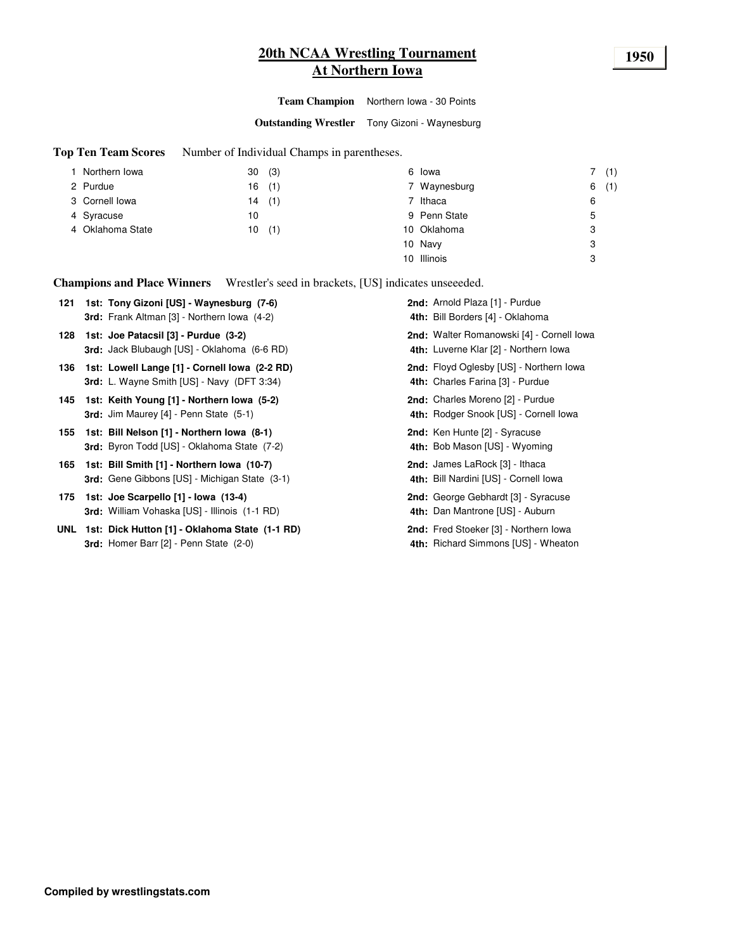# **20th NCAA Wrestling Tournament 1950 At Northern Iowa**

**Team Champion** Northern Iowa - 30 Points

**Outstanding Wrestler** Tony Gizoni - Waynesburg

**Top Ten Team Scores** Number of Individual Champs in parentheses.

|       |              | 7(1)     |
|-------|--------------|----------|
| 16(1) | 7 Waynesburg | (1)<br>6 |
| 14(1) | 7 Ithaca     | 6        |
| 10    | 9 Penn State | 5        |
| 10(1) | 10 Oklahoma  | 3        |
|       | 10 Navy      | 3        |
|       | 10 Illinois  | 3        |
|       | (3)<br>30    | 6 Iowa   |

**Champions and Place Winners** Wrestler's seed in brackets, [US] indicates unseeeded.

| 121 | 1st: Tony Gizoni [US] - Waynesburg (7-6)                                                           | 2nd: Arnold Plaza [1] - Purdue                                                     |
|-----|----------------------------------------------------------------------------------------------------|------------------------------------------------------------------------------------|
|     | <b>3rd:</b> Frank Altman [3] - Northern Iowa (4-2)                                                 | 4th: Bill Borders [4] - Oklahoma                                                   |
| 128 | 1st: Joe Patacsil [3] - Purdue (3-2)<br>3rd: Jack Blubaugh [US] - Oklahoma (6-6 RD)                | 2nd: Walter Romanowski [4] - Cornell Iowa<br>4th: Luverne Klar [2] - Northern Iowa |
| 136 | 1st: Lowell Lange [1] - Cornell Iowa (2-2 RD)<br><b>3rd:</b> L. Wayne Smith [US] - Navy (DFT 3:34) | <b>2nd:</b> Floyd Oglesby [US] - Northern Iowa<br>4th: Charles Farina [3] - Purdue |
| 145 | 1st: Keith Young [1] - Northern Iowa (5-2)<br><b>3rd:</b> Jim Maurey $[4]$ - Penn State $(5-1)$    | 2nd: Charles Moreno [2] - Purdue<br>4th: Rodger Snook [US] - Cornell lowa          |
| 155 | 1st: Bill Nelson [1] - Northern Iowa (8-1)<br><b>3rd:</b> Byron Todd [US] - Oklahoma State (7-2)   | 2nd: Ken Hunte [2] - Syracuse<br>4th: Bob Mason [US] - Wyoming                     |
|     | 165 1st: Bill Smith [1] - Northern Iowa (10-7)<br>3rd: Gene Gibbons [US] - Michigan State (3-1)    | <b>2nd:</b> James LaRock [3] - Ithaca<br>4th: Bill Nardini [US] - Cornell Iowa     |
| 175 | 1st: Joe Scarpello [1] - Iowa (13-4)<br><b>3rd:</b> William Vohaska [US] - Illinois (1-1 RD)       | 2nd: George Gebhardt [3] - Syracuse<br>4th: Dan Mantrone [US] - Auburn             |
|     | UNL 1st: Dick Hutton [1] - Oklahoma State (1-1 RD)<br>3rd: Homer Barr [2] - Penn State (2-0)       | 2nd: Fred Stoeker [3] - Northern Iowa<br>4th: Richard Simmons [US] - Wheaton       |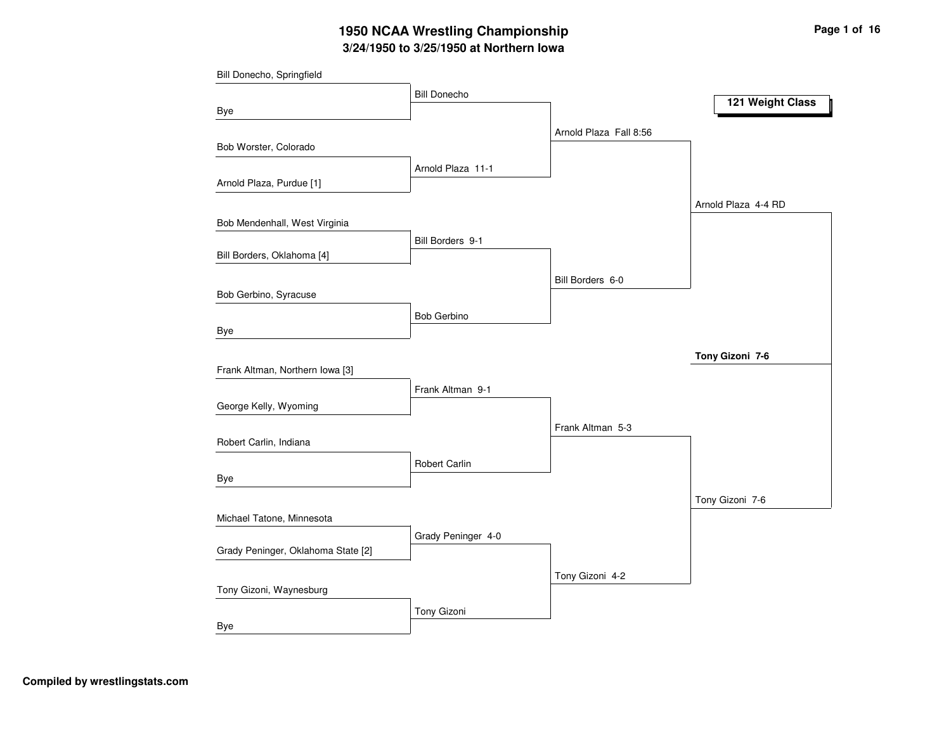# **3/24/1950 to 3/25/1950 at Northern Iowa 1950 NCAA Wrestling Championship Page <sup>1</sup> of <sup>16</sup>**

| Bill Donecho, Springfield          |                     |                        |                     |
|------------------------------------|---------------------|------------------------|---------------------|
|                                    | <b>Bill Donecho</b> |                        | 121 Weight Class    |
| Bye                                |                     |                        |                     |
|                                    |                     | Arnold Plaza Fall 8:56 |                     |
| Bob Worster, Colorado              |                     |                        |                     |
|                                    | Arnold Plaza 11-1   |                        |                     |
| Arnold Plaza, Purdue [1]           |                     |                        |                     |
|                                    |                     |                        | Arnold Plaza 4-4 RD |
| Bob Mendenhall, West Virginia      |                     |                        |                     |
| Bill Borders, Oklahoma [4]         | Bill Borders 9-1    |                        |                     |
|                                    |                     |                        |                     |
| Bob Gerbino, Syracuse              |                     | Bill Borders 6-0       |                     |
|                                    | <b>Bob Gerbino</b>  |                        |                     |
| Bye                                |                     |                        |                     |
|                                    |                     |                        |                     |
| Frank Altman, Northern Iowa [3]    |                     |                        | Tony Gizoni 7-6     |
|                                    | Frank Altman 9-1    |                        |                     |
| George Kelly, Wyoming              |                     |                        |                     |
|                                    |                     | Frank Altman 5-3       |                     |
| Robert Carlin, Indiana             |                     |                        |                     |
|                                    | Robert Carlin       |                        |                     |
| Bye                                |                     |                        |                     |
|                                    |                     |                        | Tony Gizoni 7-6     |
| Michael Tatone, Minnesota          |                     |                        |                     |
|                                    | Grady Peninger 4-0  |                        |                     |
| Grady Peninger, Oklahoma State [2] |                     |                        |                     |
|                                    |                     | Tony Gizoni 4-2        |                     |
| Tony Gizoni, Waynesburg            |                     |                        |                     |
|                                    | Tony Gizoni         |                        |                     |
| Bye                                |                     |                        |                     |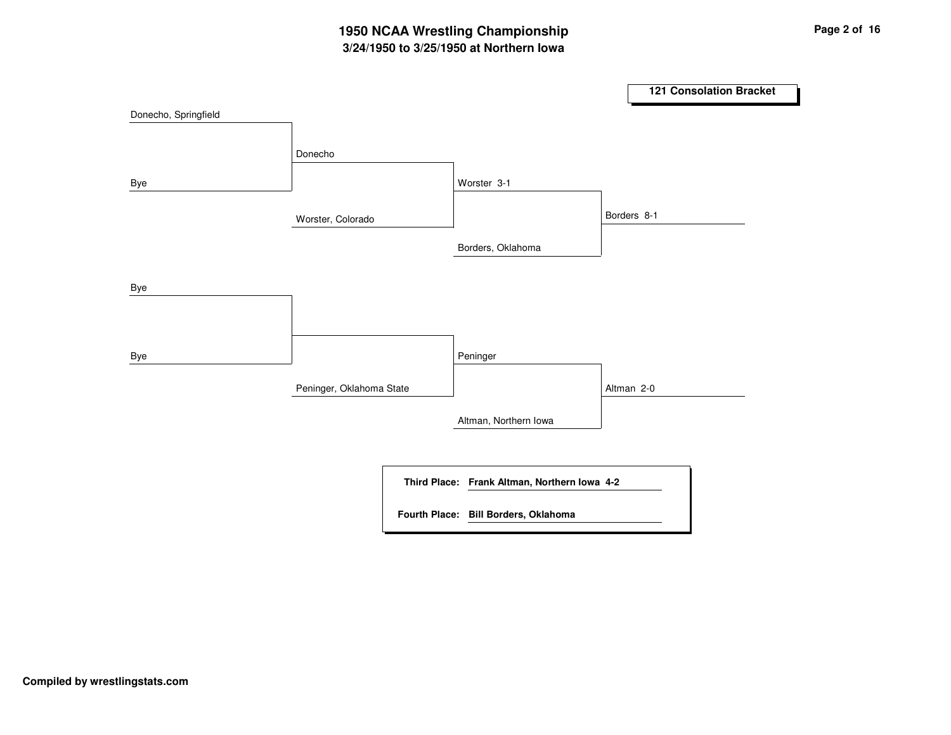# **3/24/1950 to 3/25/1950 at Northern Iowa 1950 NCAA Wrestling Championship Page <sup>2</sup> of <sup>16</sup>**

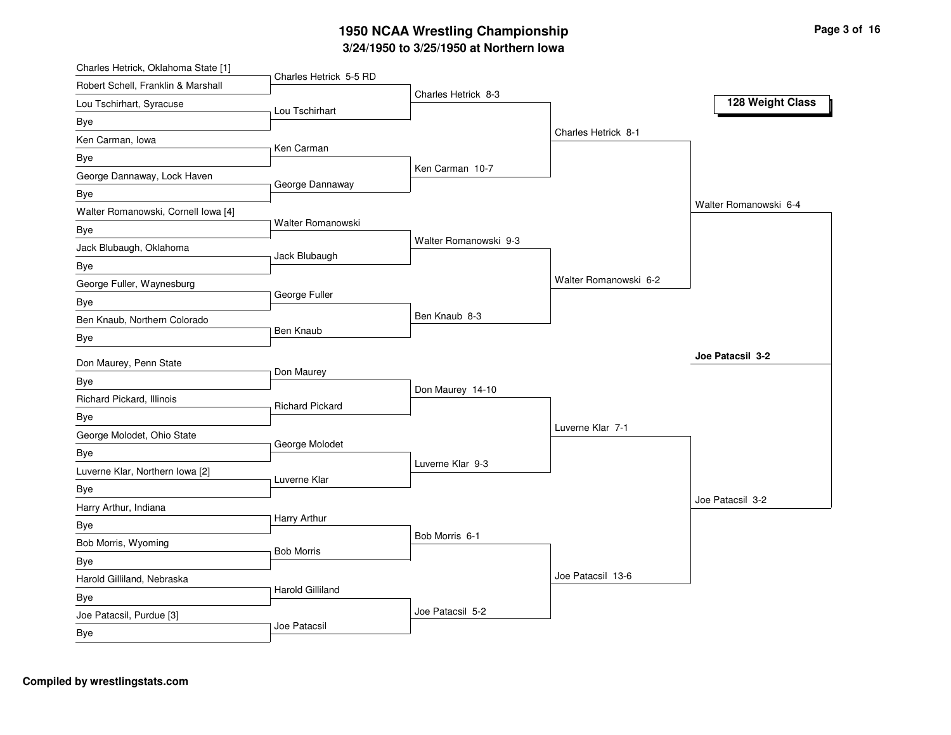# **3/2 4/19 5 0 to 3/2 5/19 5 0 at N orth ern Io w a 19 5 0 N C A A Wre stlin g C h a m pio n s hip**

| Charles Hetrick, Oklahoma State [1] |                         |                       |                       |                       |
|-------------------------------------|-------------------------|-----------------------|-----------------------|-----------------------|
| Robert Schell, Franklin & Marshall  | Charles Hetrick 5-5 RD  | Charles Hetrick 8-3   |                       |                       |
| Lou Tschirhart, Syracuse            | Lou Tschirhart          |                       |                       | 128 Weight Class      |
| Bye                                 |                         |                       |                       |                       |
| Ken Carman, Iowa                    | Ken Carman              |                       | Charles Hetrick 8-1   |                       |
| Bye                                 |                         |                       |                       |                       |
| George Dannaway, Lock Haven         | George Dannaway         | Ken Carman 10-7       |                       |                       |
| Bye                                 |                         |                       |                       |                       |
| Walter Romanowski, Cornell Iowa [4] |                         |                       |                       | Walter Romanowski 6-4 |
| Bye                                 | Walter Romanowski       |                       |                       |                       |
| Jack Blubaugh, Oklahoma             | Jack Blubaugh           | Walter Romanowski 9-3 |                       |                       |
| <b>Bye</b>                          |                         |                       |                       |                       |
| George Fuller, Waynesburg           |                         |                       | Walter Romanowski 6-2 |                       |
| Bye                                 | George Fuller           |                       |                       |                       |
| Ben Knaub, Northern Colorado        |                         | Ben Knaub 8-3         |                       |                       |
| Bye                                 | Ben Knaub               |                       |                       |                       |
| Don Maurey, Penn State              |                         |                       |                       | Joe Patacsil 3-2      |
| Bye                                 | Don Maurey              |                       |                       |                       |
| Richard Pickard, Illinois           |                         | Don Maurey 14-10      |                       |                       |
| Bye                                 | <b>Richard Pickard</b>  |                       |                       |                       |
| George Molodet, Ohio State          |                         |                       | Luverne Klar 7-1      |                       |
| <b>Bye</b>                          | George Molodet          |                       |                       |                       |
| Luverne Klar, Northern Iowa [2]     |                         | Luverne Klar 9-3      |                       |                       |
| Bye                                 | Luverne Klar            |                       |                       |                       |
| Harry Arthur, Indiana               |                         |                       |                       | Joe Patacsil 3-2      |
| Bye                                 | Harry Arthur            |                       |                       |                       |
| Bob Morris, Wyoming                 |                         | Bob Morris 6-1        |                       |                       |
| <b>Bye</b>                          | <b>Bob Morris</b>       |                       |                       |                       |
| Harold Gilliland, Nebraska          |                         |                       | Joe Patacsil 13-6     |                       |
| Bye                                 | <b>Harold Gilliland</b> |                       |                       |                       |
| Joe Patacsil, Purdue [3]            |                         | Joe Patacsil 5-2      |                       |                       |
| Bye                                 | Joe Patacsil            |                       |                       |                       |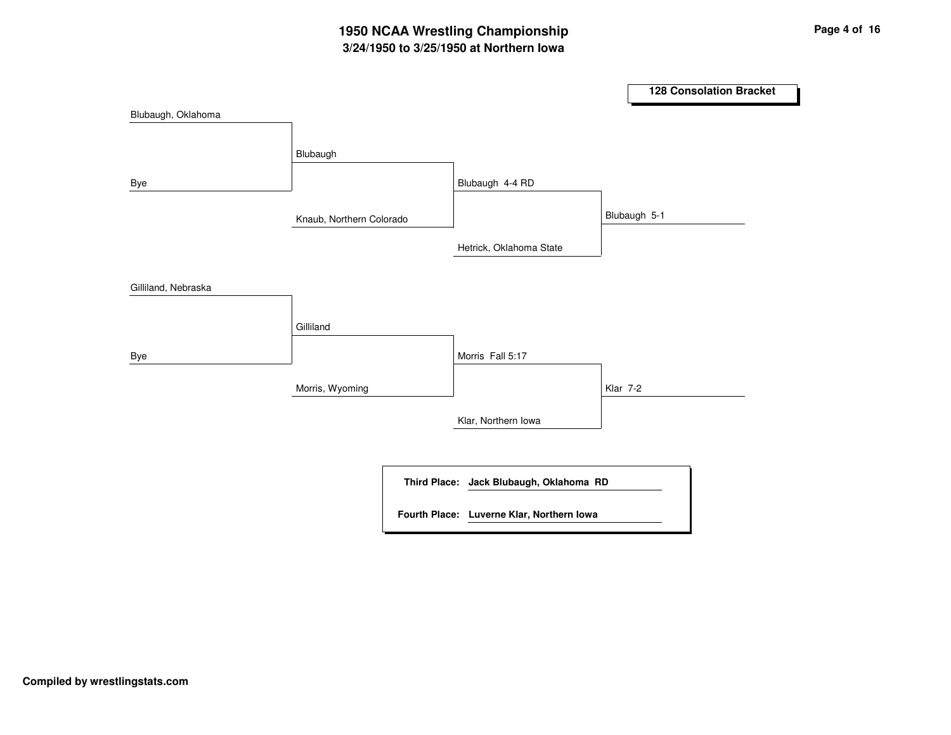### **3/24/1950 to 3/25/1950 at Northern Iowa 1950 NCAA Wrestling Championship Page <sup>4</sup> of <sup>16</sup>**

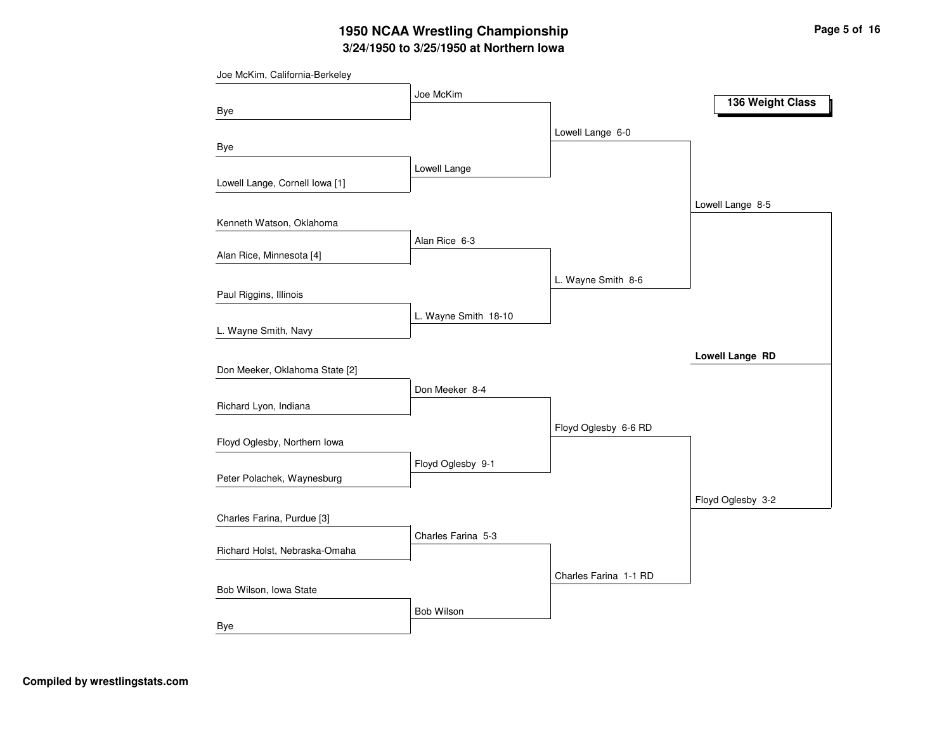# **3/24/1950 to 3/25/1950 at Northern Iowa 1950 NCAA Wrestling Championship Page <sup>5</sup> of <sup>16</sup>**

| Joe McKim, California-Berkeley |                      |                       |                        |
|--------------------------------|----------------------|-----------------------|------------------------|
|                                | Joe McKim            |                       | 136 Weight Class       |
| Bye                            |                      |                       |                        |
|                                |                      | Lowell Lange 6-0      |                        |
| Bye                            |                      |                       |                        |
|                                | Lowell Lange         |                       |                        |
| Lowell Lange, Cornell Iowa [1] |                      |                       |                        |
|                                |                      |                       | Lowell Lange 8-5       |
| Kenneth Watson, Oklahoma       |                      |                       |                        |
|                                | Alan Rice 6-3        |                       |                        |
| Alan Rice, Minnesota [4]       |                      |                       |                        |
|                                |                      | L. Wayne Smith 8-6    |                        |
| Paul Riggins, Illinois         |                      |                       |                        |
|                                | L. Wayne Smith 18-10 |                       |                        |
| L. Wayne Smith, Navy           |                      |                       |                        |
|                                |                      |                       | <b>Lowell Lange RD</b> |
| Don Meeker, Oklahoma State [2] |                      |                       |                        |
|                                | Don Meeker 8-4       |                       |                        |
| Richard Lyon, Indiana          |                      |                       |                        |
|                                |                      | Floyd Oglesby 6-6 RD  |                        |
| Floyd Oglesby, Northern Iowa   |                      |                       |                        |
|                                | Floyd Oglesby 9-1    |                       |                        |
| Peter Polachek, Waynesburg     |                      |                       |                        |
|                                |                      |                       | Floyd Oglesby 3-2      |
| Charles Farina, Purdue [3]     |                      |                       |                        |
|                                | Charles Farina 5-3   |                       |                        |
| Richard Holst, Nebraska-Omaha  |                      |                       |                        |
|                                |                      | Charles Farina 1-1 RD |                        |
| Bob Wilson, Iowa State         |                      |                       |                        |
|                                | Bob Wilson           |                       |                        |
| Bye                            |                      |                       |                        |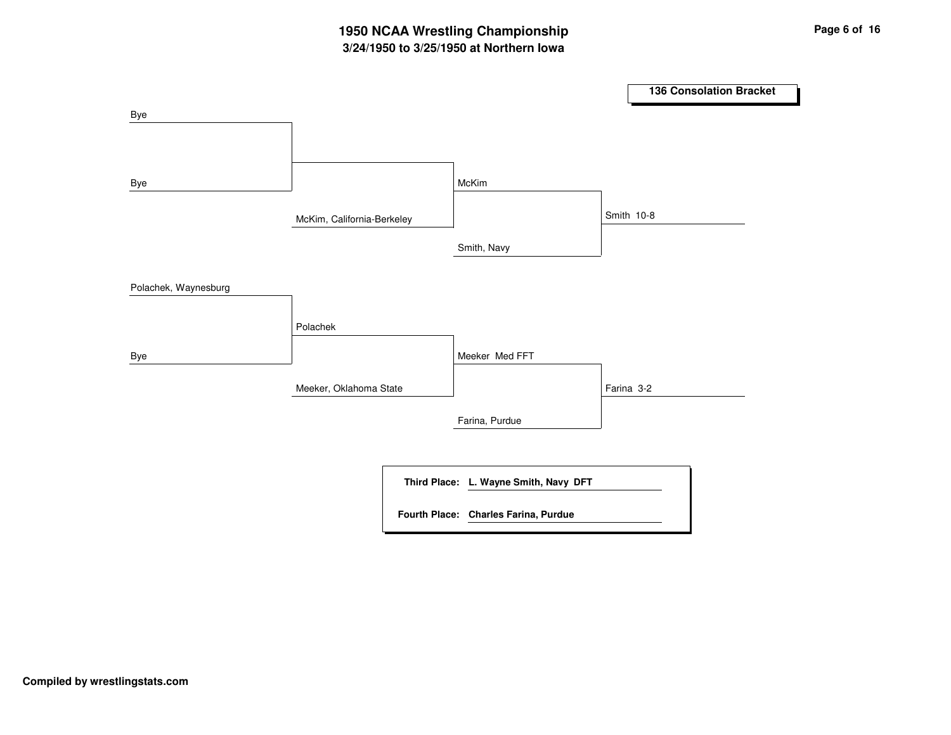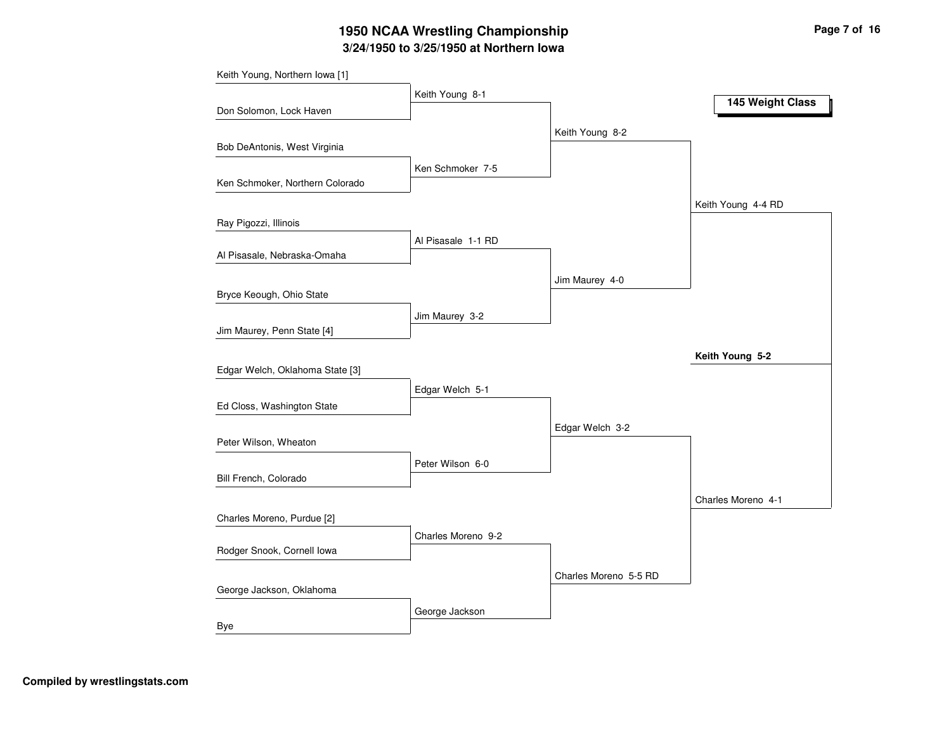# **3/24/1950 to 3/25/1950 at Northern Iowa 1950 NCAA Wrestling Championship Page <sup>7</sup> of <sup>16</sup>**

| Keith Young, Northern Iowa [1]  |                    |                       |                    |
|---------------------------------|--------------------|-----------------------|--------------------|
|                                 | Keith Young 8-1    |                       | 145 Weight Class   |
| Don Solomon, Lock Haven         |                    |                       |                    |
|                                 |                    | Keith Young 8-2       |                    |
| Bob DeAntonis, West Virginia    |                    |                       |                    |
|                                 | Ken Schmoker 7-5   |                       |                    |
| Ken Schmoker, Northern Colorado |                    |                       |                    |
|                                 |                    |                       | Keith Young 4-4 RD |
| Ray Pigozzi, Illinois           |                    |                       |                    |
|                                 | Al Pisasale 1-1 RD |                       |                    |
| Al Pisasale, Nebraska-Omaha     |                    |                       |                    |
|                                 |                    | Jim Maurey 4-0        |                    |
| Bryce Keough, Ohio State        |                    |                       |                    |
|                                 | Jim Maurey 3-2     |                       |                    |
| Jim Maurey, Penn State [4]      |                    |                       |                    |
|                                 |                    |                       | Keith Young 5-2    |
| Edgar Welch, Oklahoma State [3] |                    |                       |                    |
|                                 | Edgar Welch 5-1    |                       |                    |
| Ed Closs, Washington State      |                    |                       |                    |
|                                 |                    | Edgar Welch 3-2       |                    |
| Peter Wilson, Wheaton           |                    |                       |                    |
| Bill French, Colorado           | Peter Wilson 6-0   |                       |                    |
|                                 |                    |                       |                    |
|                                 |                    |                       | Charles Moreno 4-1 |
| Charles Moreno, Purdue [2]      |                    |                       |                    |
| Rodger Snook, Cornell Iowa      | Charles Moreno 9-2 |                       |                    |
|                                 |                    |                       |                    |
| George Jackson, Oklahoma        |                    | Charles Moreno 5-5 RD |                    |
|                                 |                    |                       |                    |
|                                 | George Jackson     |                       |                    |
| Bye                             |                    |                       |                    |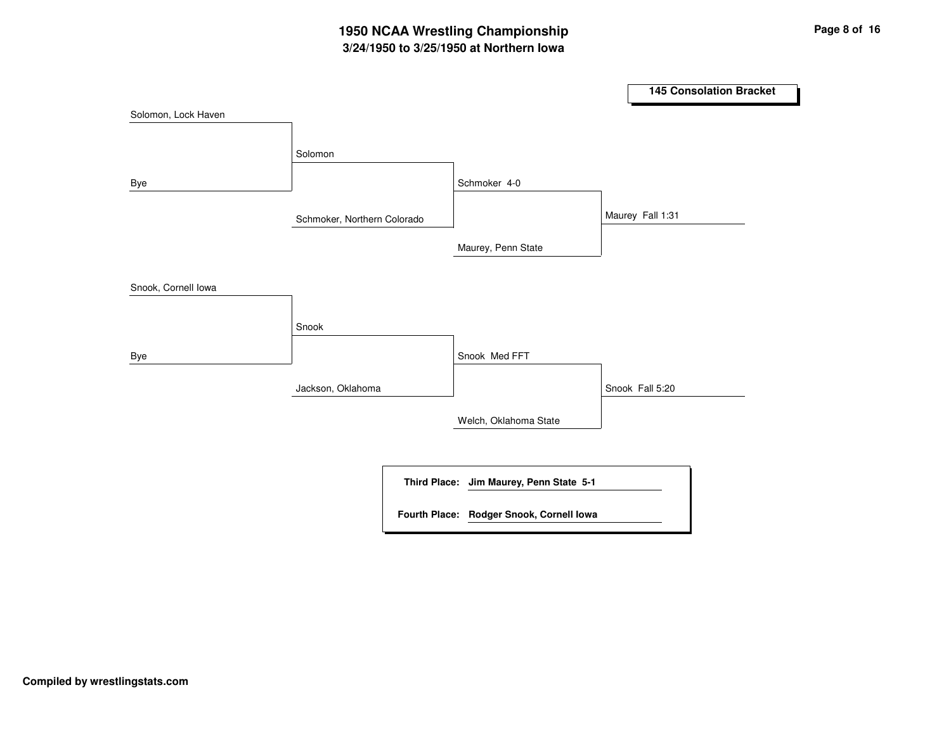### **3/24/1950 to 3/25/1950 at Northern Iowa 1950 NCAA Wrestling Championship Page <sup>8</sup> of <sup>16</sup>**

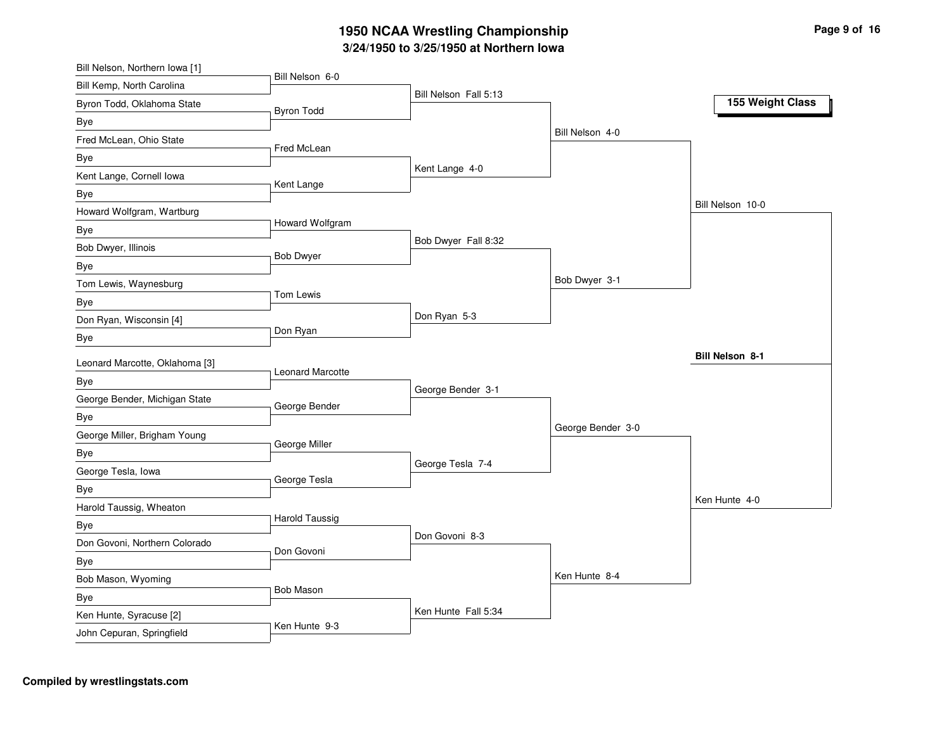#### **3/2 4/19 5 0 to 3/2 5/19 5 0 at N orth ern Io w a 19 5 0 N C A A Wre stlin g C h a m pio n s hip**

| Bill Nelson, Northern Iowa [1] |                         |                       |                   |                        |
|--------------------------------|-------------------------|-----------------------|-------------------|------------------------|
| Bill Kemp, North Carolina      | Bill Nelson 6-0         | Bill Nelson Fall 5:13 |                   |                        |
| Byron Todd, Oklahoma State     | <b>Byron Todd</b>       |                       |                   | 155 Weight Class       |
| Bye                            |                         |                       |                   |                        |
| Fred McLean, Ohio State        |                         |                       | Bill Nelson 4-0   |                        |
| Bye                            | Fred McLean             |                       |                   |                        |
| Kent Lange, Cornell lowa       |                         | Kent Lange 4-0        |                   |                        |
| Bye                            | Kent Lange              |                       |                   |                        |
| Howard Wolfgram, Wartburg      |                         |                       |                   | Bill Nelson 10-0       |
| Bye                            | Howard Wolfgram         |                       |                   |                        |
| Bob Dwyer, Illinois            |                         | Bob Dwyer Fall 8:32   |                   |                        |
| Bye                            | <b>Bob Dwyer</b>        |                       |                   |                        |
| Tom Lewis, Waynesburg          |                         |                       | Bob Dwyer 3-1     |                        |
| Bye                            | Tom Lewis               |                       |                   |                        |
| Don Ryan, Wisconsin [4]        |                         | Don Ryan 5-3          |                   |                        |
| Bye                            | Don Ryan                |                       |                   |                        |
|                                |                         |                       |                   | <b>Bill Nelson 8-1</b> |
| Leonard Marcotte, Oklahoma [3] | <b>Leonard Marcotte</b> |                       |                   |                        |
| Bye                            |                         | George Bender 3-1     |                   |                        |
| George Bender, Michigan State  | George Bender           |                       |                   |                        |
| Bye                            |                         |                       | George Bender 3-0 |                        |
| George Miller, Brigham Young   | George Miller           |                       |                   |                        |
| Bye                            |                         | George Tesla 7-4      |                   |                        |
| George Tesla, Iowa             | George Tesla            |                       |                   |                        |
| Bye                            |                         |                       |                   | Ken Hunte 4-0          |
| Harold Taussig, Wheaton        | <b>Harold Taussig</b>   |                       |                   |                        |
| Bye                            |                         | Don Govoni 8-3        |                   |                        |
| Don Govoni, Northern Colorado  | Don Govoni              |                       |                   |                        |
| Bye                            |                         |                       |                   |                        |
| Bob Mason, Wyoming             |                         |                       | Ken Hunte 8-4     |                        |
|                                |                         |                       |                   |                        |
| Bye                            | <b>Bob Mason</b>        |                       |                   |                        |
| Ken Hunte, Syracuse [2]        | Ken Hunte 9-3           | Ken Hunte Fall 5:34   |                   |                        |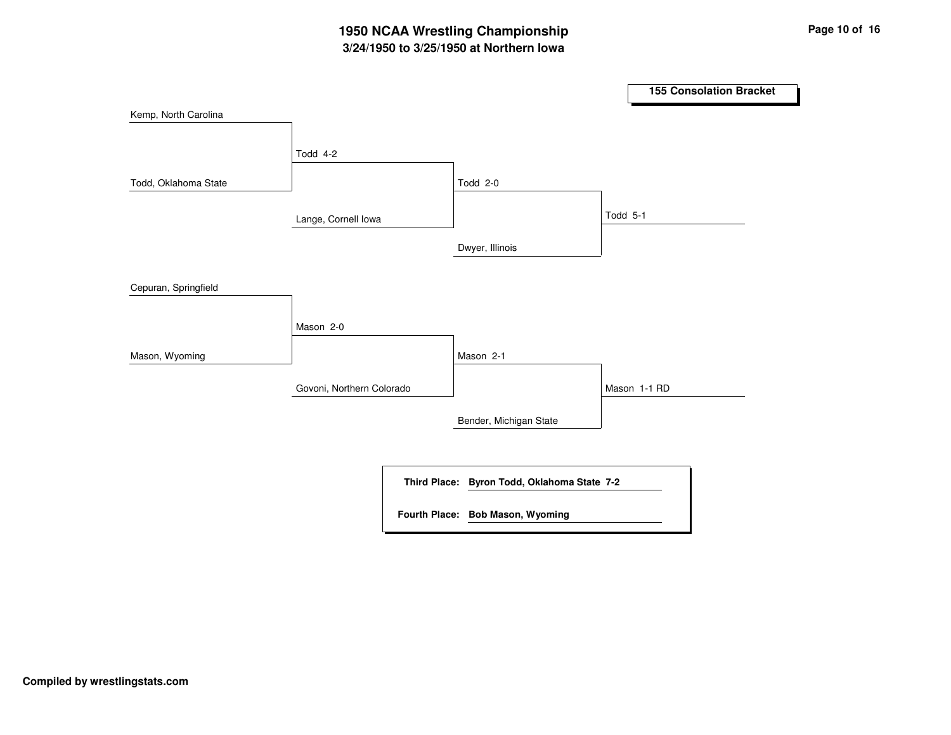### **3/24/1950 to 3/25/1950 at Northern Iowa 1950 NCAA Wrestling Championship Page <sup>10</sup> of <sup>16</sup>**

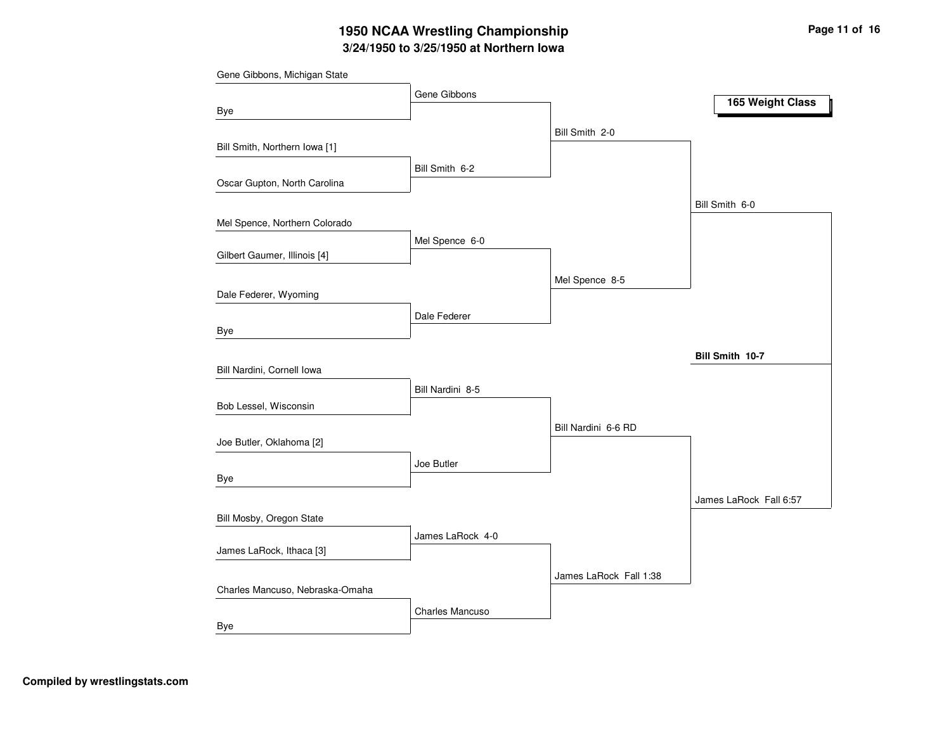# **3/24/1950 to 3/25/1950 at Northern Iowa 1950 NCAA Wrestling Championship Page <sup>11</sup> of <sup>16</sup>**

|                                 | Gene Gibbons     |                        | 165 Weight Class       |
|---------------------------------|------------------|------------------------|------------------------|
| Bye                             |                  |                        |                        |
|                                 |                  | Bill Smith 2-0         |                        |
| Bill Smith, Northern Iowa [1]   |                  |                        |                        |
|                                 | Bill Smith 6-2   |                        |                        |
| Oscar Gupton, North Carolina    |                  |                        |                        |
|                                 |                  |                        | Bill Smith 6-0         |
| Mel Spence, Northern Colorado   |                  |                        |                        |
|                                 | Mel Spence 6-0   |                        |                        |
| Gilbert Gaumer, Illinois [4]    |                  |                        |                        |
|                                 |                  | Mel Spence 8-5         |                        |
| Dale Federer, Wyoming           |                  |                        |                        |
|                                 | Dale Federer     |                        |                        |
| Bye                             |                  |                        |                        |
|                                 |                  |                        | Bill Smith 10-7        |
| Bill Nardini, Cornell Iowa      |                  |                        |                        |
| Bob Lessel, Wisconsin           | Bill Nardini 8-5 |                        |                        |
|                                 |                  |                        |                        |
| Joe Butler, Oklahoma [2]        |                  | Bill Nardini 6-6 RD    |                        |
|                                 |                  |                        |                        |
| Bye                             | Joe Butler       |                        |                        |
|                                 |                  |                        | James LaRock Fall 6:57 |
| Bill Mosby, Oregon State        |                  |                        |                        |
|                                 | James LaRock 4-0 |                        |                        |
| James LaRock, Ithaca [3]        |                  |                        |                        |
|                                 |                  | James LaRock Fall 1:38 |                        |
| Charles Mancuso, Nebraska-Omaha |                  |                        |                        |
|                                 | Charles Mancuso  |                        |                        |
| Bye                             |                  |                        |                        |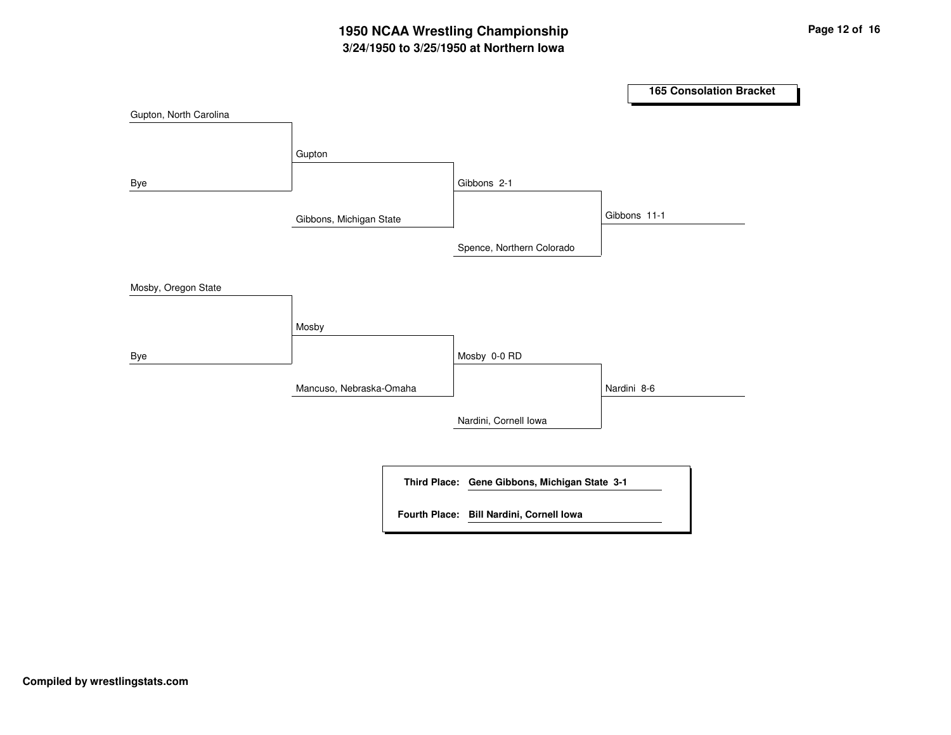# **3/24/1950 to 3/25/1950 at Northern Iowa 1950 NCAA Wrestling Championship Page <sup>12</sup> of <sup>16</sup>**

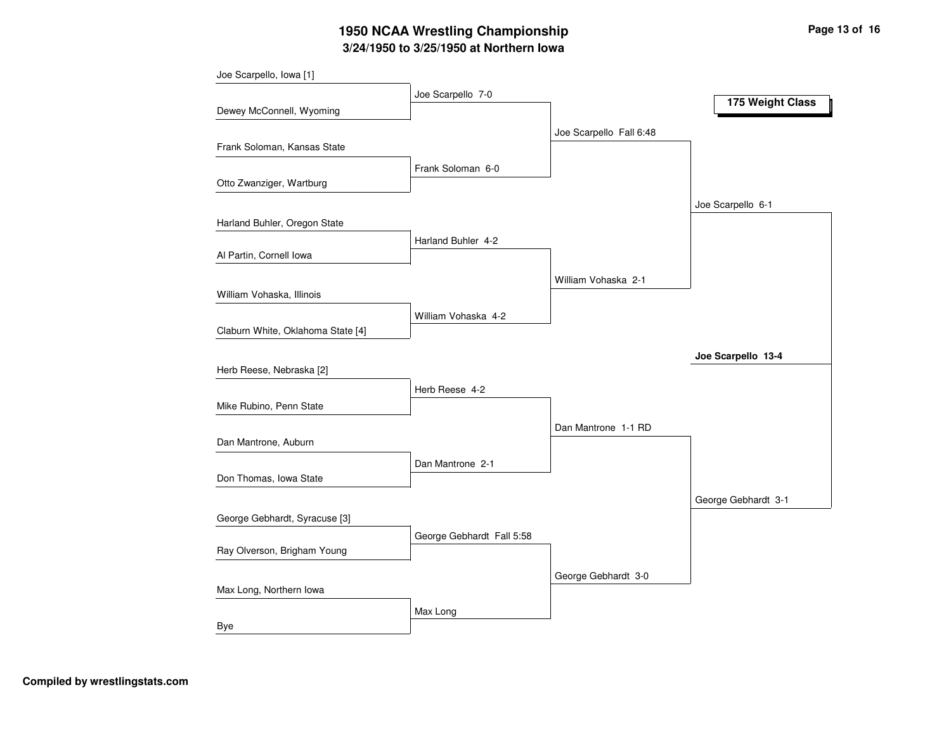# **3/24/1950 to 3/25/1950 at Northern Iowa 1950 NCAA Wrestling Championship Page <sup>13</sup> of <sup>16</sup>**

| Joe Scarpello, Iowa [1]           | Joe Scarpello 7-0         |                         |                     |
|-----------------------------------|---------------------------|-------------------------|---------------------|
| Dewey McConnell, Wyoming          |                           |                         | 175 Weight Class    |
|                                   |                           | Joe Scarpello Fall 6:48 |                     |
| Frank Soloman, Kansas State       |                           |                         |                     |
|                                   | Frank Soloman 6-0         |                         |                     |
| Otto Zwanziger, Wartburg          |                           |                         |                     |
|                                   |                           |                         | Joe Scarpello 6-1   |
| Harland Buhler, Oregon State      | Harland Buhler 4-2        |                         |                     |
| Al Partin, Cornell Iowa           |                           |                         |                     |
|                                   |                           | William Vohaska 2-1     |                     |
| William Vohaska, Illinois         |                           |                         |                     |
|                                   | William Vohaska 4-2       |                         |                     |
| Claburn White, Oklahoma State [4] |                           |                         |                     |
|                                   |                           |                         | Joe Scarpello 13-4  |
| Herb Reese, Nebraska [2]          |                           |                         |                     |
| Mike Rubino, Penn State           | Herb Reese 4-2            |                         |                     |
|                                   |                           |                         |                     |
| Dan Mantrone, Auburn              |                           | Dan Mantrone 1-1 RD     |                     |
|                                   | Dan Mantrone 2-1          |                         |                     |
| Don Thomas, Iowa State            |                           |                         |                     |
|                                   |                           |                         | George Gebhardt 3-1 |
| George Gebhardt, Syracuse [3]     |                           |                         |                     |
|                                   | George Gebhardt Fall 5:58 |                         |                     |
| Ray Olverson, Brigham Young       |                           |                         |                     |
| Max Long, Northern Iowa           |                           | George Gebhardt 3-0     |                     |
|                                   |                           |                         |                     |
| Bye                               | Max Long                  |                         |                     |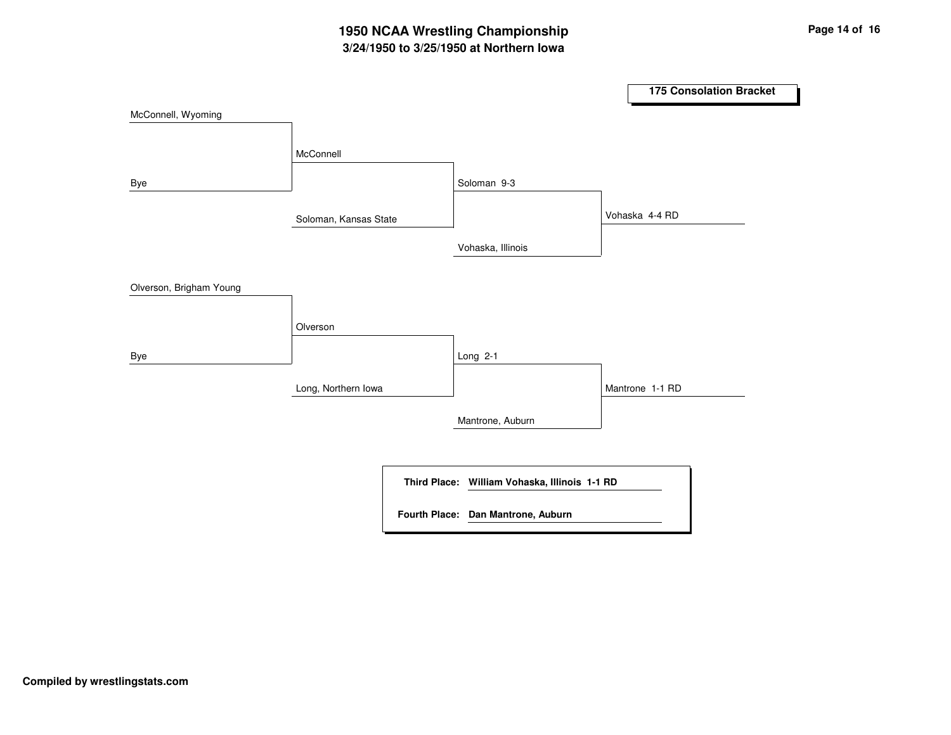## **3/24/1950 to 3/25/1950 at Northern Iowa 1950 NCAA Wrestling Championship Page <sup>14</sup> of <sup>16</sup>**

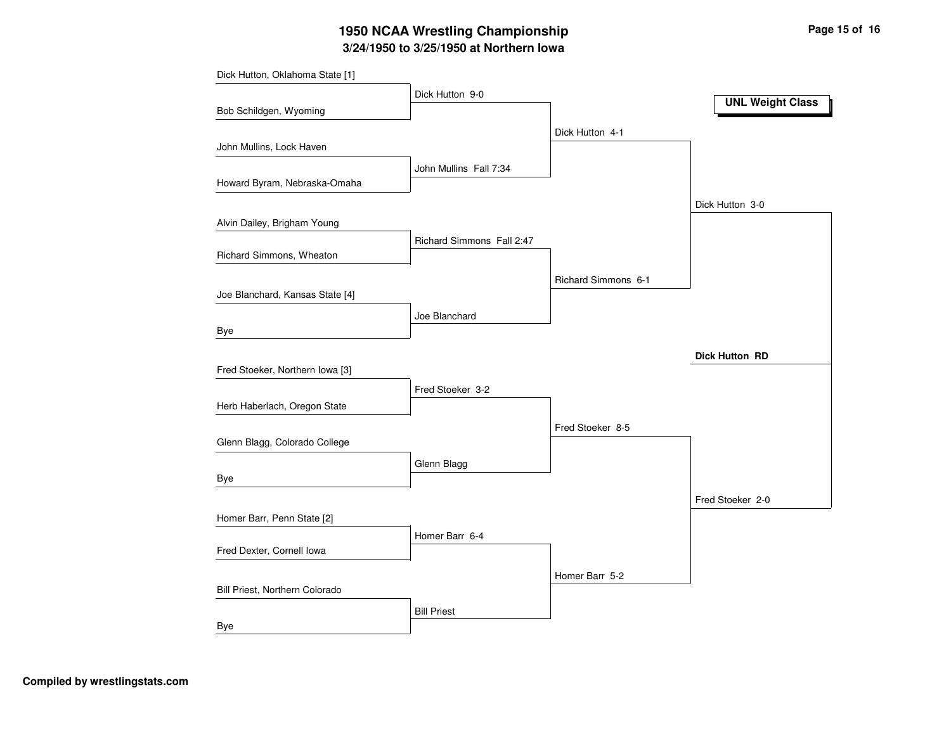# **3/24/1950 to 3/25/1950 at Northern Iowa 1950 NCAA Wrestling Championship Page <sup>15</sup> of <sup>16</sup>**

| Dick Hutton, Oklahoma State [1] |                           |                     |                         |
|---------------------------------|---------------------------|---------------------|-------------------------|
|                                 | Dick Hutton 9-0           |                     | <b>UNL Weight Class</b> |
| Bob Schildgen, Wyoming          |                           |                     |                         |
|                                 |                           | Dick Hutton 4-1     |                         |
| John Mullins, Lock Haven        |                           |                     |                         |
|                                 | John Mullins Fall 7:34    |                     |                         |
| Howard Byram, Nebraska-Omaha    |                           |                     |                         |
|                                 |                           |                     | Dick Hutton 3-0         |
| Alvin Dailey, Brigham Young     |                           |                     |                         |
| Richard Simmons, Wheaton        | Richard Simmons Fall 2:47 |                     |                         |
|                                 |                           |                     |                         |
| Joe Blanchard, Kansas State [4] |                           | Richard Simmons 6-1 |                         |
|                                 |                           |                     |                         |
| Bye                             | Joe Blanchard             |                     |                         |
|                                 |                           |                     |                         |
| Fred Stoeker, Northern Iowa [3] |                           |                     | <b>Dick Hutton RD</b>   |
|                                 | Fred Stoeker 3-2          |                     |                         |
| Herb Haberlach, Oregon State    |                           |                     |                         |
|                                 |                           | Fred Stoeker 8-5    |                         |
| Glenn Blagg, Colorado College   |                           |                     |                         |
|                                 | Glenn Blagg               |                     |                         |
| Bye                             |                           |                     |                         |
|                                 |                           |                     | Fred Stoeker 2-0        |
| Homer Barr, Penn State [2]      |                           |                     |                         |
|                                 | Homer Barr 6-4            |                     |                         |
| Fred Dexter, Cornell Iowa       |                           |                     |                         |
|                                 |                           | Homer Barr 5-2      |                         |
| Bill Priest, Northern Colorado  |                           |                     |                         |
|                                 | <b>Bill Priest</b>        |                     |                         |
| Bye                             |                           |                     |                         |